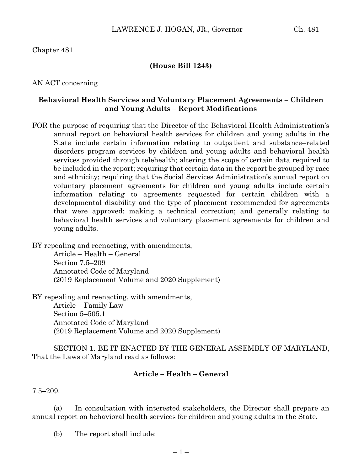### Chapter 481

#### **(House Bill 1243)**

#### AN ACT concerning

### **Behavioral Health Services and Voluntary Placement Agreements – Children and Young Adults – Report Modifications**

FOR the purpose of requiring that the Director of the Behavioral Health Administration's annual report on behavioral health services for children and young adults in the State include certain information relating to outpatient and substance–related disorders program services by children and young adults and behavioral health services provided through telehealth; altering the scope of certain data required to be included in the report; requiring that certain data in the report be grouped by race and ethnicity; requiring that the Social Services Administration's annual report on voluntary placement agreements for children and young adults include certain information relating to agreements requested for certain children with a developmental disability and the type of placement recommended for agreements that were approved; making a technical correction; and generally relating to behavioral health services and voluntary placement agreements for children and young adults.

BY repealing and reenacting, with amendments,

Article – Health – General Section 7.5–209 Annotated Code of Maryland (2019 Replacement Volume and 2020 Supplement)

BY repealing and reenacting, with amendments,

Article – Family Law Section 5–505.1 Annotated Code of Maryland (2019 Replacement Volume and 2020 Supplement)

SECTION 1. BE IT ENACTED BY THE GENERAL ASSEMBLY OF MARYLAND, That the Laws of Maryland read as follows:

#### **Article – Health – General**

7.5–209.

(a) In consultation with interested stakeholders, the Director shall prepare an annual report on behavioral health services for children and young adults in the State.

(b) The report shall include: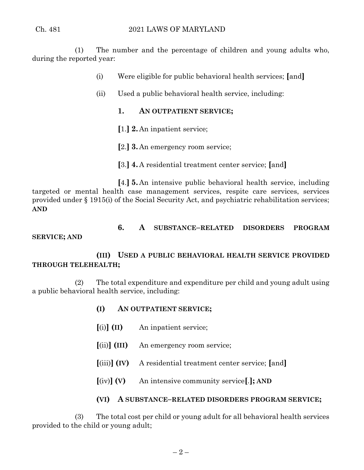(1) The number and the percentage of children and young adults who, during the reported year:

- (i) Were eligible for public behavioral health services; **[**and**]**
- (ii) Used a public behavioral health service, including:
	- **1. AN OUTPATIENT SERVICE;**
	- **[**1.**] 2.** An inpatient service;
	- **[**2.**] 3.** An emergency room service;
	- **[**3.**] 4.** A residential treatment center service; **[**and**]**

**[**4.**] 5.** An intensive public behavioral health service, including targeted or mental health case management services, respite care services, services provided under § 1915(i) of the Social Security Act, and psychiatric rehabilitation services; **AND**

**6. A SUBSTANCE–RELATED DISORDERS PROGRAM** 

### **SERVICE; AND**

# **(III) USED A PUBLIC BEHAVIORAL HEALTH SERVICE PROVIDED THROUGH TELEHEALTH;**

(2) The total expenditure and expenditure per child and young adult using a public behavioral health service, including:

- **(I) AN OUTPATIENT SERVICE;**
- **[**(i)**] (II)** An inpatient service;
- **[**(ii)**] (III)** An emergency room service;
- **[**(iii)**] (IV)** A residential treatment center service; **[**and**]**
- **[**(iv)**] (V)** An intensive community service**[**.**]; AND**
- **(VI) A SUBSTANCE–RELATED DISORDERS PROGRAM SERVICE;**

(3) The total cost per child or young adult for all behavioral health services provided to the child or young adult;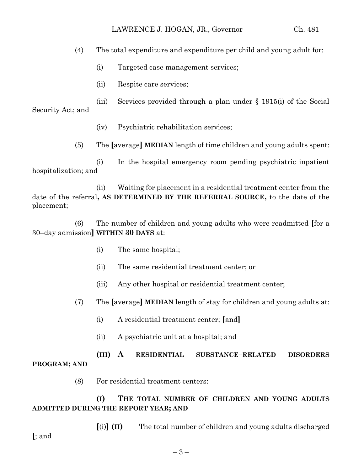(4) The total expenditure and expenditure per child and young adult for:

- (i) Targeted case management services;
- (ii) Respite care services;

(iii) Services provided through a plan under § 1915(i) of the Social Security Act; and

- (iv) Psychiatric rehabilitation services;
- (5) The **[**average**] MEDIAN** length of time children and young adults spent:

(i) In the hospital emergency room pending psychiatric inpatient hospitalization; and

(ii) Waiting for placement in a residential treatment center from the date of the referral**, AS DETERMINED BY THE REFERRAL SOURCE,** to the date of the placement;

(6) The number of children and young adults who were readmitted **[**for a 30–day admission**] WITHIN 30 DAYS** at:

- (i) The same hospital;
- (ii) The same residential treatment center; or
- (iii) Any other hospital or residential treatment center;
- (7) The **[**average**] MEDIAN** length of stay for children and young adults at:
	- (i) A residential treatment center; **[**and**]**
	- (ii) A psychiatric unit at a hospital; and

**(III) A RESIDENTIAL SUBSTANCE–RELATED DISORDERS PROGRAM; AND**

(8) For residential treatment centers:

# **(I) THE TOTAL NUMBER OF CHILDREN AND YOUNG ADULTS ADMITTED DURING THE REPORT YEAR; AND**

**[**(i)**] (II)** The total number of children and young adults discharged

**[**; and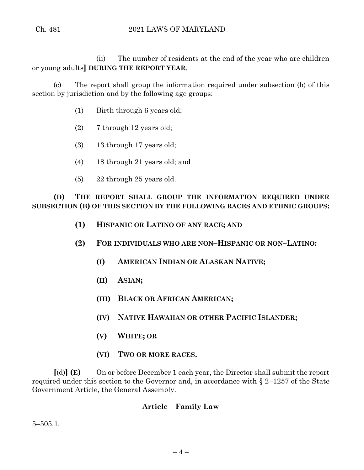(ii) The number of residents at the end of the year who are children or young adults**] DURING THE REPORT YEAR**.

(c) The report shall group the information required under subsection (b) of this section by jurisdiction and by the following age groups:

- (1) Birth through 6 years old;
- (2) 7 through 12 years old;
- (3) 13 through 17 years old;
- (4) 18 through 21 years old; and
- (5) 22 through 25 years old.

**(D) THE REPORT SHALL GROUP THE INFORMATION REQUIRED UNDER SUBSECTION (B) OF THIS SECTION BY THE FOLLOWING RACES AND ETHNIC GROUPS:**

- **(1) HISPANIC OR LATINO OF ANY RACE; AND**
- **(2) FOR INDIVIDUALS WHO ARE NON–HISPANIC OR NON–LATINO:**
	- **(I) AMERICAN INDIAN OR ALASKAN NATIVE;**
	- **(II) ASIAN;**
	- **(III) BLACK OR AFRICAN AMERICAN;**
	- **(IV) NATIVE HAWAIIAN OR OTHER PACIFIC ISLANDER;**
	- **(V) WHITE; OR**
	- **(VI) TWO OR MORE RACES.**

**[**(d)**] (E)** On or before December 1 each year, the Director shall submit the report required under this section to the Governor and, in accordance with § 2–1257 of the State Government Article, the General Assembly.

# **Article – Family Law**

5–505.1.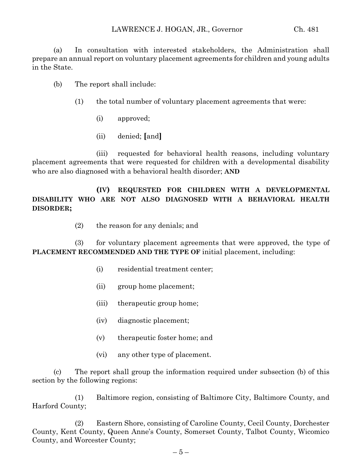(a) In consultation with interested stakeholders, the Administration shall prepare an annual report on voluntary placement agreements for children and young adults in the State.

- (b) The report shall include:
	- (1) the total number of voluntary placement agreements that were:
		- (i) approved;
		- (ii) denied; **[**and**]**

(iii) requested for behavioral health reasons, including voluntary placement agreements that were requested for children with a developmental disability who are also diagnosed with a behavioral health disorder; **AND**

# **(IV) REQUESTED FOR CHILDREN WITH A DEVELOPMENTAL DISABILITY WHO ARE NOT ALSO DIAGNOSED WITH A BEHAVIORAL HEALTH DISORDER;**

(2) the reason for any denials; and

(3) for voluntary placement agreements that were approved, the type of **PLACEMENT RECOMMENDED AND THE TYPE OF initial placement, including:** 

- (i) residential treatment center;
- (ii) group home placement;
- (iii) therapeutic group home;
- (iv) diagnostic placement;
- (v) therapeutic foster home; and
- (vi) any other type of placement.

(c) The report shall group the information required under subsection (b) of this section by the following regions:

(1) Baltimore region, consisting of Baltimore City, Baltimore County, and Harford County;

(2) Eastern Shore, consisting of Caroline County, Cecil County, Dorchester County, Kent County, Queen Anne's County, Somerset County, Talbot County, Wicomico County, and Worcester County;